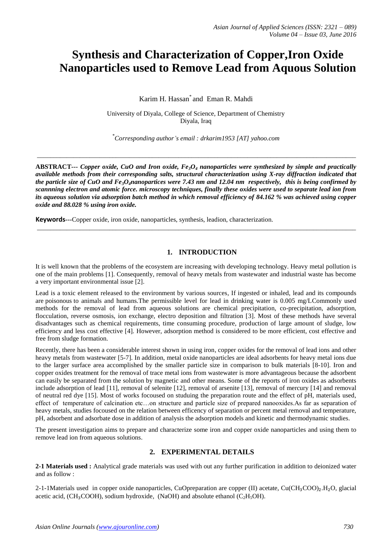# **Synthesis and Characterization of Copper,Iron Oxide Nanoparticles used to Remove Lead from Aquous Solution**

Karim H. Hassan\* and Eman R. Mahdi

University of Diyala, College of Science, Department of Chemistry Diyala, Iraq

\* *Corresponding author's email : drkarim1953 [AT] yahoo.com*

 $\_$  ,  $\_$  ,  $\_$  ,  $\_$  ,  $\_$  ,  $\_$  ,  $\_$  ,  $\_$  ,  $\_$  ,  $\_$  ,  $\_$  ,  $\_$  ,  $\_$  ,  $\_$  ,  $\_$  ,  $\_$  ,  $\_$  ,  $\_$  ,  $\_$  ,  $\_$  ,  $\_$  ,  $\_$  ,  $\_$  ,  $\_$  ,  $\_$  ,  $\_$  ,  $\_$  ,  $\_$  ,  $\_$  ,  $\_$  ,  $\_$  ,  $\_$  ,  $\_$  ,  $\_$  ,  $\_$  ,  $\_$  ,  $\_$  ,

**ABSTRACT***--- Copper oxide, CuO and Iron oxide, Fe3O<sup>4</sup> nanoparticles were synthesized by simple and practically available methods from their corresponding salts, structural characterization using X-ray diffraction indicated that the particle size of CuO and Fe3O4nanopartices were 7.43 nm and 12.04 nm respectively, this is being confirmed by scannning electron and atomic force. microscopy techniques, finally these oxides were used to separate lead ion from its aqueous solution via adsorption batch method in which removal efficiency of 84.162 % was achieved using copper oxide and 88.028 % using iron oxide.*

 $\_$  ,  $\_$  ,  $\_$  ,  $\_$  ,  $\_$  ,  $\_$  ,  $\_$  ,  $\_$  ,  $\_$  ,  $\_$  ,  $\_$  ,  $\_$  ,  $\_$  ,  $\_$  ,  $\_$  ,  $\_$  ,  $\_$  ,  $\_$  ,  $\_$  ,  $\_$  ,  $\_$  ,  $\_$  ,  $\_$  ,  $\_$  ,  $\_$  ,  $\_$  ,  $\_$  ,  $\_$  ,  $\_$  ,  $\_$  ,  $\_$  ,  $\_$  ,  $\_$  ,  $\_$  ,  $\_$  ,  $\_$  ,  $\_$  ,

**Keywords---**Copper oxide, iron oxide, nanoparticles, synthesis, leadion, characterization.

# **1. INTRODUCTION**

It is well known that the problems of the ecosystem are increasing with developing technology. Heavy metal pollution is one of the main problems [1]. Consequently, removal of heavy metals from wastewater and industrial waste has become a very important environmental issue [2].

Lead is a toxic element released to the environment by various sources, If ingested or inhaled, lead and its compounds are [poisonous](https://en.wikipedia.org/wiki/Poisonous) to animals and humans.The permissible level for lead in drinking water is 0.005 mg/LCommonly used methods for the removal of lead from aqueous solutions are chemical precipitation, co-precipitation, adsorption, flocculation, reverse osmosis, ion exchange, electro deposition and filtration [3]. Most of these methods have several disadvantages such as chemical requirements, time consuming procedure, production of large amount of sludge, low efficiency and less cost effective [4]. However, adsorption method is considered to be more efficient, cost effective and free from sludge formation.

Recently, there has been a considerable interest shown in using iron, copper oxides for the removal of lead ions and other heavy metals from wastewater [5-7]. In addition, metal oxide nanoparticles are ideal adsorbents for heavy metal ions due to the larger surface area accomplished by the smaller particle size in comparison to bulk materials [8-10]. Iron and copper oxides treatment for the removal of trace metal ions from wastewater is more advantageous because the adsorbent can easily be separated from the solution by magnetic and other means. Some of the reports of iron oxides as adsorbents include adsorption of lead [11], removal of selenite [12], removal of arsenite [13], removal of mercury [14] and removal of neutral red dye [15]. Most of works focoused on studuing the preparation route and the effect of pH, materials used, effect of temperature of calcination etc…on structure and particle size of prepared nanooxides.As far as separation of heavy metals, studies focoused on the relation between efficency of separation or percent metal removal and temperature, pH, adsorbent and adsorbate dose in addition of analysis the adsorption models and kinetic and thermodynamic studies.

The present investigation aims to prepare and characterize some iron and copper oxide nanoparticles and using them to remove lead ion from aqueous solutions.

# **2. EXPERIMENTAL DETAILS**

**2-1 Materials used :** Analytical grade materials was used with out any further purification in addition to deionized water and as follow :

2-1-1Materials used in copper oxide nanoparticles, CuOpreparation are copper (II) acetate,  $Cu(CH_3COO)_2.H_2O$ , glacial acetic acid, (CH<sub>3</sub>COOH), sodium hydroxide, (NaOH) and absolute ethanol (C<sub>2</sub>H<sub>5</sub>OH).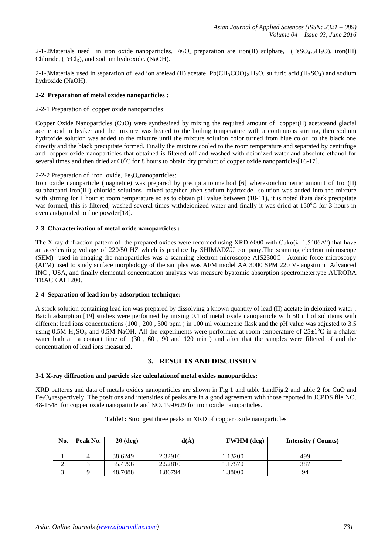2-1-2Materials used in iron oxide nanoparticles,  $Fe_3O_4$  preparation are iron(II) sulphate, (FeSO<sub>4</sub>.5H<sub>2</sub>O), iron(III) Chloride,  $(FeCl<sub>3</sub>)$ , and sodium hydroxide.  $(NaOH)$ .

2-1-3Materials used in separation of lead ion arelead (II) acetate,  $Pb(CH_3COO)_2.H_2O$ , sulfuric acid,( $H_2SO_4$ ) and sodium hydroxide (NaOH).

### **2-2 Preparation of metal oxides nanoparticles :**

#### 2-2-1 Preparation of copper oxide nanoparticles:

Copper Oxide Nanoparticles (CuO) were synthesized by mixing the required amount of copper(II) acetateand glacial acetic acid in beaker and the mixture was heated to the boiling temperature with a continuous stirring, then sodium hydroxide solution was added to the mixture until the mixture solution color turned from blue color to the black one directly and the black precipitate formed. Finally the mixture cooled to the room temperature and separated by centrifuge and copper oxide nanoparticles that obtained is filtered off and washed with deionized water and absolute ethanol for several times and then dried at  $60^{\circ}$ C for 8 hours to obtain dry product of copper oxide nanoparticles [16-17].

#### 2-2-2 Preparation of iron oxide,  $Fe<sub>3</sub>O<sub>4</sub>$ nanoparticles:

Iron oxide nanoparticle (magnetite) was prepared by precipitationmethod [6] wherestoichiometric amount of Iron(II) sulphateand Iron(III) chloride solutions mixed together ,then sodium hydroxide solution was added into the mixture with stirring for 1 hour at room temperature so as to obtain pH value between (10-11), it is noted thata dark precipitate was formed, this is filtered, washed several times withdeionized water and finally it was dried at 150°C for 3 hours in oven andgrinded to fine powder[18].

#### **2-3 Characterization of metal oxide nanoparticles :**

The X-ray diffraction pattern of the prepared oxides were recorded using XRD-6000 with Cuka( $\lambda=1.5406$ A°) that have an accelerating voltage of 220/50 HZ which is produce by SHIMADZU company.The scanning electron microscope (SEM) used in imaging the nanoparticles was a scanning electron microscope AIS2300C . Atomic force microscopy (AFM) used to study surface morphology of the samples was AFM model AA 3000 SPM 220 V- angstrum Advanced INC , USA, and finally elemental concentration analysis was measure byatomic absorption spectrometertype AURORA TRACE AI 1200.

## **2-4 Separation of lead ion by adsorption technique:**

A stock solution containing lead ion was prepared by dissolving a known quantity of lead (II) acetate in deionized water . Batch adsorption [19] studies were performed by mixing 0.1 of metal oxide nanoparticle with 50 ml of solutions with different lead ions concentrations (100, 200, 300 ppm) in 100 ml volumetric flask and the pH value was adjusted to 3.5 using 0.5M H<sub>2</sub>SO<sub>4</sub> and 0.5M NaOH. All the experiments were performed at room temperature of  $25\pm1^{\circ}$ C in a shaker water bath at a contact time of (30 , 60 , 90 and 120 min ) and after that the samples were filtered of and the concentration of lead ions measured.

## **3. RESULTS AND DISCUSSION**

#### **3-1 X-ray diffraction and particle size calculationof metal oxides nanoparticles:**

XRD patterns and data of metals oxides nanoparticles are shown in Fig.1 and table 1andFig.2 and table 2 for CuO and Fe3O4 respectively, The positions and intensities of peaks are in a good agreement with those reported in JCPDS file NO. 48-1548 for copper oxide nanoparticle and NO. 19-0629 for iron oxide nanoparticles.

#### **Table1:** Strongest three peaks in XRD of copper oxide nanoparticles

| No. | Peak No. | $2\theta$ (deg) | d(A)    | <b>FWHM</b> (deg) | <b>Intensity</b> ( Counts) |
|-----|----------|-----------------|---------|-------------------|----------------------------|
|     |          | 38.6249         | 2.32916 | 1.13200           | 499                        |
|     |          | 35.4796         | 2.52810 | 1.17570           | 387                        |
|     |          | 48.7088         | 1.86794 | .38000            | 94                         |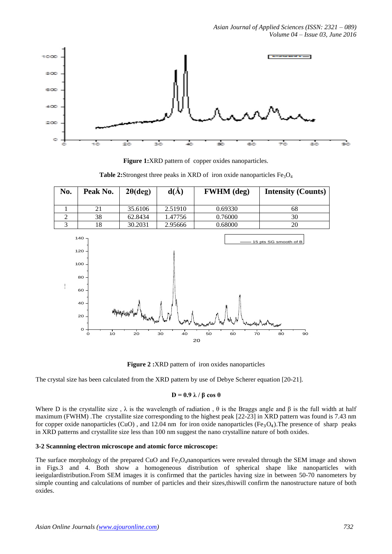

**Figure 1:**XRD pattern of copper oxides nanoparticles.

**Table 2:**Strongest three peaks in XRD of iron oxide nanoparticles  $Fe<sub>3</sub>O<sub>4</sub>$ 

| No. | Peak No. | $2\theta(\text{deg})$ | d(A)    | <b>FWHM</b> (deg) | <b>Intensity (Counts)</b> |
|-----|----------|-----------------------|---------|-------------------|---------------------------|
|     |          | 35.6106               | 2.51910 | 0.69330           | 68                        |
|     | 38       | 62.8434               | 1.47756 | 0.76000           | 30                        |
|     | 18       | 30.2031               | 2.95666 | 0.68000           | 20                        |



**Figure 2:XRD** pattern of iron oxides nanoparticles

The crystal size has been calculated from the XRD pattern by use of Debye Scherer equation [20-21].

#### **D = 0.9 λ / β cos θ**

Where D is the crystallite size,  $\lambda$  is the wavelength of radiation,  $\theta$  is the Braggs angle and  $\beta$  is the full width at half maximum (FWHM) .The crystallite size corresponding to the highest peak [22-23] in XRD pattern was found is 7.43 nm for copper oxide nanoparticles (CuO), and 12.04 nm for iron oxide nanoparticles (Fe<sub>3</sub>O<sub>4</sub>). The presence of sharp peaks in XRD patterns and crystallite size less than 100 nm suggest the nano crystalline nature of both oxides.

#### **3-2 Scannning electron microscope and atomic force microscope:**

The surface morphology of the prepared CuO and  $Fe<sub>3</sub>O<sub>4</sub>$ nanopartices were revealed through the SEM image and shown in Figs.3 and 4. Both show a homogeneous distribution of spherical shape like nanoparticles with ieeigulardistribution.From SEM images it is confirmed that the particles having size in between 50-70 nanometers by simple counting and calculations of number of particles and their sizes, this will confirm the nanostructure nature of both oxides.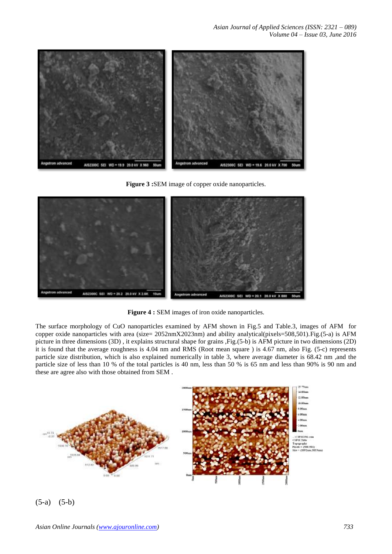*Asian Journal of Applied Sciences (ISSN: 2321 – 089) Volume 04 – Issue 03, June 2016*



**Figure 3 :**SEM image of copper oxide nanoparticles.



**Figure 4 :** SEM images of iron oxide nanoparticles.

The surface morphology of CuO nanoparticles examined by AFM shown in Fig.5 and Table.3, images of AFM for copper oxide nanoparticles with area (size= 2052nmX2023nm) and ability analytical(pixels=508,501).Fig.(5-a) is AFM picture in three dimensions (3D) , it explains structural shape for grains ,Fig.(5-b) is AFM picture in two dimensions (2D) it is found that the average roughness is 4.04 nm and RMS (Root mean square ) is 4.67 nm, also Fig. (5-c) represents particle size distribution, which is also explained numerically in table 3, where average diameter is 68.42 nm ,and the particle size of less than 10 % of the total particles is 40 nm, less than 50 % is 65 nm and less than 90% is 90 nm and these are agree also with those obtained from SEM .



(5-a) (5-b)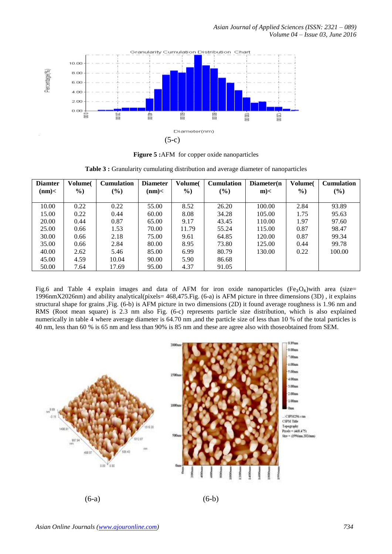

**Figure 5 :**AFM for copper oxide nanoparticles

|  |  |  | <b>Table 3 :</b> Granularity cumulating distribution and average diameter of nanoparticles |  |  |  |
|--|--|--|--------------------------------------------------------------------------------------------|--|--|--|
|--|--|--|--------------------------------------------------------------------------------------------|--|--|--|

| <b>Diamter</b> | <b>Volume</b> | <b>Cumulation</b> | <b>Diameter</b> | Volume(       | <b>Cumulation</b> | Diameter(n) | Volume <sup>(</sup> | <b>Cumulation</b> |
|----------------|---------------|-------------------|-----------------|---------------|-------------------|-------------|---------------------|-------------------|
| (nm)           | $\frac{9}{0}$ | $(\%)$            | (nm)            | $\frac{6}{2}$ | $(\%)$            | $m$ $<$     | $\%$                | (%)               |
|                |               |                   |                 |               |                   |             |                     |                   |
| 10.00          | 0.22          | 0.22              | 55.00           | 8.52          | 26.20             | 100.00      | 2.84                | 93.89             |
| 15.00          | 0.22          | 0.44              | 60.00           | 8.08          | 34.28             | 105.00      | 1.75                | 95.63             |
| 20.00          | 0.44          | 0.87              | 65.00           | 9.17          | 43.45             | 110.00      | 1.97                | 97.60             |
| 25.00          | 0.66          | 1.53              | 70.00           | 11.79         | 55.24             | 115.00      | 0.87                | 98.47             |
| 30.00          | 0.66          | 2.18              | 75.00           | 9.61          | 64.85             | 120.00      | 0.87                | 99.34             |
| 35.00          | 0.66          | 2.84              | 80.00           | 8.95          | 73.80             | 125.00      | 0.44                | 99.78             |
| 40.00          | 2.62          | 5.46              | 85.00           | 6.99          | 80.79             | 130.00      | 0.22                | 100.00            |
| 45.00          | 4.59          | 10.04             | 90.00           | 5.90          | 86.68             |             |                     |                   |
| 50.00          | 7.64          | 17.69             | 95.00           | 4.37          | 91.05             |             |                     |                   |

Fig.6 and Table 4 explain images and data of AFM for iron oxide nanoparticles  $(Fe<sub>3</sub>O<sub>4</sub>)$ with area (size= 1996nmX2026nm) and ability analytical(pixels= 468,475.Fig. (6-a) is AFM picture in three dimensions (3D) , it explains structural shape for grains ,Fig. (6-b) is AFM picture in two dimensions (2D) it found average roughness is 1.96 nm and RMS (Root mean square) is 2.3 nm also Fig. (6-c) represents particle size distribution, which is also explained numerically in table 4 where average diameter is 64.70 nm ,and the particle size of less than 10 % of the total particles is 40 nm, less than 60 % is 65 nm and less than 90% is 85 nm and these are agree also with thoseobtained from SEM.

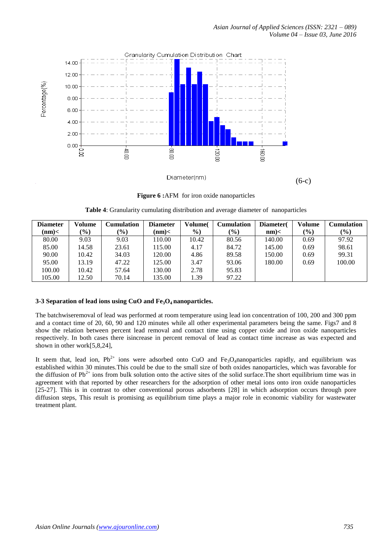

**Figure 6 :**AFM for iron oxide nanoparticles

|  |  |  | Table 4: Granularity cumulating distribution and average diameter of nanoparticles |
|--|--|--|------------------------------------------------------------------------------------|

| <b>Diameter</b> | Volume        | Cumulation | <b>Diameter</b> | Volume( | <b>Cumulation</b> | Diameter( | Volume | <b>Cumulation</b> |
|-----------------|---------------|------------|-----------------|---------|-------------------|-----------|--------|-------------------|
| (nm)            | $\frac{9}{0}$ | $(\%)$     | $(nm)$ <        | $\%$    | $\frac{9}{0}$     | $nm$ $<$  | $(\%)$ | $(\%)$            |
| 80.00           | 9.03          | 9.03       | 110.00          | 10.42   | 80.56             | 140.00    | 0.69   | 97.92             |
| 85.00           | 14.58         | 23.61      | 115.00          | 4.17    | 84.72             | 145.00    | 0.69   | 98.61             |
| 90.00           | 10.42         | 34.03      | 120.00          | 4.86    | 89.58             | 150.00    | 0.69   | 99.31             |
| 95.00           | 13.19         | 47.22      | 125.00          | 3.47    | 93.06             | 180.00    | 0.69   | 100.00            |
| 100.00          | 10.42         | 57.64      | 130.00          | 2.78    | 95.83             |           |        |                   |
| 105.00          | 12.50         | 70.14      | 135.00          | 1.39    | 97.22             |           |        |                   |

## **3-3 Separation of lead ions using CuO and Fe3O4 nanoparticles.**

The batchwiseremoval of lead was performed at room temperature using lead ion concentration of 100, 200 and 300 ppm and a contact time of 20, 60, 90 and 120 minutes while all other experimental parameters being the same. Figs7 and 8 show the relation between percent lead removal and contact time using copper oxide and iron oxide nanoparticles respectively. In both cases there isincrease in percent removal of lead as contact time increase as was expected and shown in other work[5,8,24],

It seem that, lead ion,  $Pb^{2+}$  ions were adsorbed onto CuO and Fe<sub>3</sub>O<sub>4</sub>nanoparticles rapidly, and equilibrium was established within 30 minutes.This could be due to the small size of both oxides nanoparticles, which was favorable for the diffusion of  $Pb^{2+}$  ions from bulk solution onto the active sites of the solid surface. The short equilibrium time was in agreement with that reported by other researchers for the adsorption of other metal ions onto iron oxide nanoparticles [25-27]. This is in contrast to other conventional porous adsorbents [28] in which adsorption occurs through pore diffusion steps, This result is promising as equilibrium time plays a major role in economic viability for wastewater treatment plant.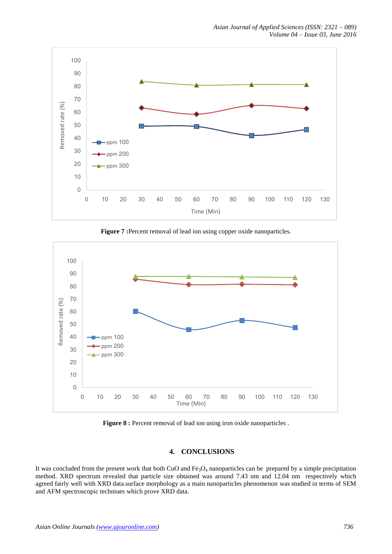

**Figure 7 :**Percent removal of lead ion using copper oxide nanoparticles.



**Figure 8 :** Percent removal of lead ion using iron oxide nanoparticles.

# **4. CONCLUSIONS**

It was concluded from the present work that both CuO and  $Fe<sub>3</sub>O<sub>4</sub>$  nanoparticles can be prepared by a simple precipitation method. XRD spectrum revealed that particle size obtained was around 7.43 nm and 12.04 nm respectively which agreed fairly well with XRD data.surface morphology as a main nanoparticles phenomenon was studied in terms of SEM and AFM spectroscopic techniues which prove XRD data.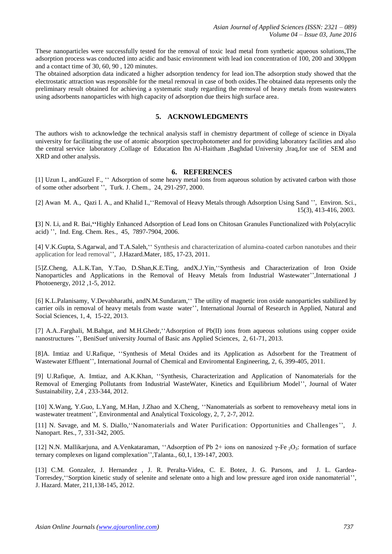These nanoparticles were successfully tested for the removal of toxic lead metal from synthetic aqueous solutions,The adsorption process was conducted into acidic and basic environment with lead ion concentration of 100, 200 and 300ppm and a contact time of 30, 60, 90 , 120 minutes.

The obtained adsorption data indicated a higher adsorption tendency for lead ion.The adsorption study showed that the electrostatic attraction was responsible for the metal removal in case of both oxides.The obtained data represents only the preliminary result obtained for achieving a systematic study regarding the removal of heavy metals from wastewaters using adsorbents nanoparticles with high capacity of adsorption due theirs high surface area.

# **5. ACKNOWLEDGMENTS**

The authors wish to acknowledge the technical analysis staff in chemistry department of college of science in Diyala university for facilitating the use of atomic absorption spectrophotometer and for providing laboratory facilities and also the central service laboratory ,Collage of Education Ibn Al-Haitham ,Baghdad University ,Iraq,for use of SEM and XRD and other analysis.

## **6. REFERENCES**

[1] Uzun I., andGuzel F., ʻʻ Adsorption of some heavy metal ions from aqueous solution by activated carbon with those of some other adsorbent '', Turk. J. Chem., 24, 291-297, 2000.

[2] Awan M. A., Qazi I. A., and Khalid I.,ʻʻRemoval of Heavy Metals through Adsorption Using Sand '', Environ. Sci., 15(3), 413-416, 2003.

**[**3] N. Li, and R. Bai,**ʻʻ**Highly Enhanced Adsorption of Lead Ions on Chitosan Granules Functionalized with Poly(acrylic acid) '', Ind. Eng. Chem. Res., 45, 7897-7904, 2006.

[4] V.K.Gupta, S.Agarwal, and T.A.Saleh,ʻʻ Synthesis and characterization of alumina-coated carbon nanotubes and their application for lead removal'', J.Hazard.Mater, 185, 17-23, 2011.

[5]Z.Cheng, A.L.K.Tan, Y.Tao, D.Shan,K.E.Ting, andX.J.Yin,ʻʻSynthesis and Characterization of Iron Oxide Nanoparticles and Applications in the Removal of Heavy Metals from Industrial Wastewater'',International J Photoenergy, 2012 ,1-5, 2012.

[6] K.L.Palanisamy, V.Devabharathi, andN.M.Sundaram,ʻʻ The utility of magnetic iron oxide nanoparticles stabilized by carrier oils in removal of heavy metals from waste water'', International Journal of Research in Applied, Natural and Social Sciences, 1, 4, 15-22, 2013.

[7] A.A..Farghali, M.Bahgat, and M.H.Ghedr,ʻʻAdsorption of Pb(II) ions from aqueous solutions using copper oxide nanostructures '', BeniSuef university Journal of Basic ans Applied Sciences, 2, 61-71, 2013.

[8]A. Imtiaz and U.Rafique, ʻʻSynthesis of Metal Oxides and its Application as Adsorbent for the Treatment of Wastewater Effluent'', International Journal of Chemical and Enviromental Engineering, 2, 6, 399-405, 2011.

[9] U.Rafique, A. Imtiaz, and A.K.Khan, ʻʻSynthesis, Characterization and Application of Nanomaterials for the Removal of Emerging Pollutants from Industrial WasteWater, Kinetics and Equilibrium Model'', Journal of Water Sustainability, 2,4 , 233-344, 2012.

[10] X.Wang, Y.Guo, L.Yang, M.Han, J.Zhao and X.Cheng, ʻʻNanomaterials as sorbent to removeheavy metal ions in wastewater treatment'', Environmental and Analytical Toxicology, 2, 7, 2-7, 2012.

[11] N. Savage, and M. S. Diallo,ʻʻNanomaterials and Water Purification: Opportunities and Challenges'', J. Nanopart. Res., 7, 331-342, 2005.

[12] N.N. Mallikarjuna, and A.Venkataraman, "Adsorption of Pb 2+ ions on nanosized γ-Fe 2O3: formation of surface [ternary complexes on ligand complexation'](https://scholar.google.com/citations?view_op=view_citation&hl=en&user=YIpiQR4AAAAJ&citation_for_view=YIpiQR4AAAAJ:Tyk-4Ss8FVUC)',Talanta., 60,1, 139-147, 2003.

[13] C.M. Gonzalez, J. Hernandez , J. R. Peralta-Videa, C. E. Botez, J. G. Parsons, and J. L. Gardea-Torresdey,ʻ[ʻSorption kinetic study of selenite and selenate onto a high and low pressure aged iron oxide nanomaterial'](https://scholar.google.com/citations?view_op=view_citation&hl=en&user=24lbXp8AAAAJ&citation_for_view=24lbXp8AAAAJ:_FxGoFyzp5QC)', J. Hazard. Mater, 211,138-145, 2012.